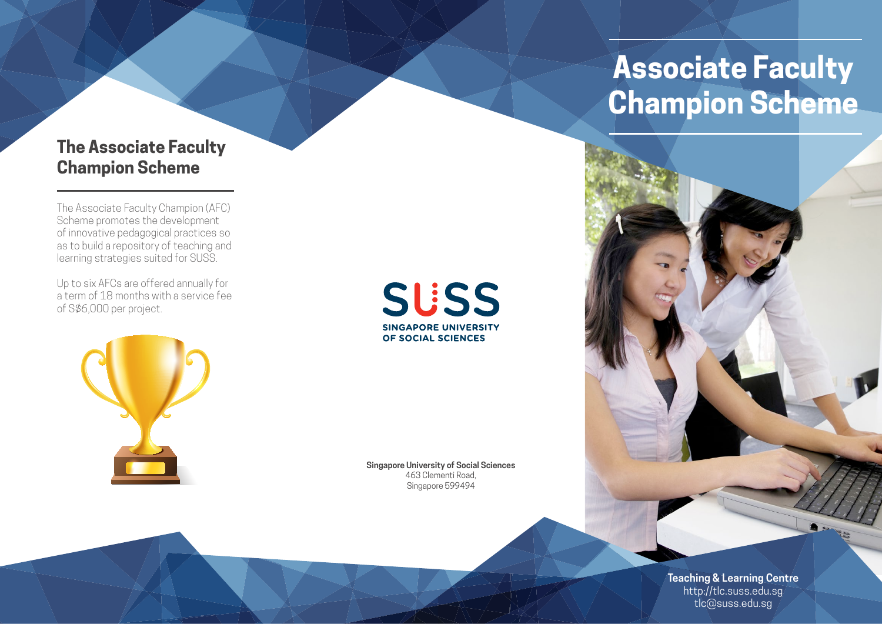## **The Associate Faculty Champion Scheme**

The Associate Faculty Champion (AFC) Scheme promotes the development of innovative pedagogical practices so as to build a repository of teaching and learning strategies suited for SUSS.

Up to six AFCs are offered annually for a term of 18 months with a service fee of S\$6,000 per project.

**SUSS SINGAPORE UNIVERSITY** OF SOCIAL SCIENCES

**Singapore University of Social Sciences** 463 Clementi Road, Singapore 599494

# **Associate Faculty Champion Scheme**



**Teaching & Learning Centre** http://tlc.suss.edu.sg tlc@suss.edu.sg